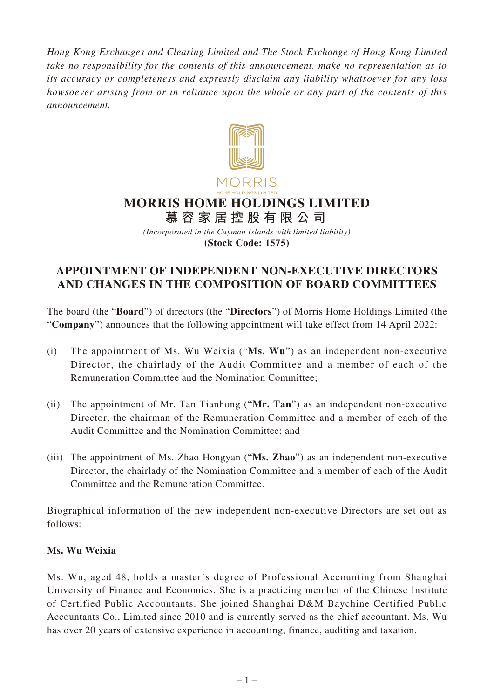*Hong Kong Exchanges and Clearing Limited and The Stock Exchange of Hong Kong Limited take no responsibility for the contents of this announcement, make no representation as to its accuracy or completeness and expressly disclaim any liability whatsoever for any loss howsoever arising from or in reliance upon the whole or any part of the contents of this announcement.*



## **APPOINTMENT OF INDEPENDENT NON-EXECUTIVE DIRECTORS AND CHANGES IN THE COMPOSITION OF BOARD COMMITTEES**

The board (the "**Board**") of directors (the "**Directors**") of Morris Home Holdings Limited (the "**Company**") announces that the following appointment will take effect from 14 April 2022:

- (i) The appointment of Ms. Wu Weixia ("**Ms. Wu**") as an independent non-executive Director, the chairlady of the Audit Committee and a member of each of the Remuneration Committee and the Nomination Committee;
- (ii) The appointment of Mr. Tan Tianhong ("**Mr. Tan**") as an independent non-executive Director, the chairman of the Remuneration Committee and a member of each of the Audit Committee and the Nomination Committee; and
- (iii) The appointment of Ms. Zhao Hongyan ("**Ms. Zhao**") as an independent non-executive Director, the chairlady of the Nomination Committee and a member of each of the Audit Committee and the Remuneration Committee.

Biographical information of the new independent non-executive Directors are set out as follows:

### **Ms. Wu Weixia**

Ms. Wu, aged 48, holds a master's degree of Professional Accounting from Shanghai University of Finance and Economics. She is a practicing member of the Chinese Institute of Certified Public Accountants. She joined Shanghai D&M Baychine Certified Public Accountants Co., Limited since 2010 and is currently served as the chief accountant. Ms. Wu has over 20 years of extensive experience in accounting, finance, auditing and taxation.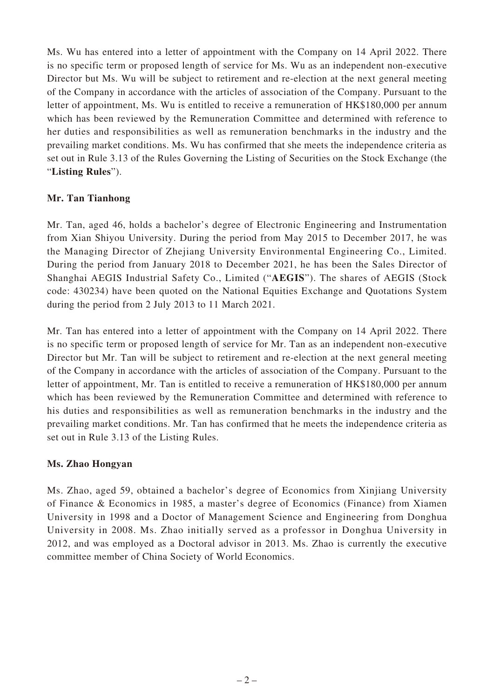Ms. Wu has entered into a letter of appointment with the Company on 14 April 2022. There is no specific term or proposed length of service for Ms. Wu as an independent non-executive Director but Ms. Wu will be subject to retirement and re-election at the next general meeting of the Company in accordance with the articles of association of the Company. Pursuant to the letter of appointment, Ms. Wu is entitled to receive a remuneration of HK\$180,000 per annum which has been reviewed by the Remuneration Committee and determined with reference to her duties and responsibilities as well as remuneration benchmarks in the industry and the prevailing market conditions. Ms. Wu has confirmed that she meets the independence criteria as set out in Rule 3.13 of the Rules Governing the Listing of Securities on the Stock Exchange (the "**Listing Rules**").

#### **Mr. Tan Tianhong**

Mr. Tan, aged 46, holds a bachelor's degree of Electronic Engineering and Instrumentation from Xian Shiyou University. During the period from May 2015 to December 2017, he was the Managing Director of Zhejiang University Environmental Engineering Co., Limited. During the period from January 2018 to December 2021, he has been the Sales Director of Shanghai AEGIS Industrial Safety Co., Limited ("**AEGIS**"). The shares of AEGIS (Stock code: 430234) have been quoted on the National Equities Exchange and Quotations System during the period from 2 July 2013 to 11 March 2021.

Mr. Tan has entered into a letter of appointment with the Company on 14 April 2022. There is no specific term or proposed length of service for Mr. Tan as an independent non-executive Director but Mr. Tan will be subject to retirement and re-election at the next general meeting of the Company in accordance with the articles of association of the Company. Pursuant to the letter of appointment, Mr. Tan is entitled to receive a remuneration of HK\$180,000 per annum which has been reviewed by the Remuneration Committee and determined with reference to his duties and responsibilities as well as remuneration benchmarks in the industry and the prevailing market conditions. Mr. Tan has confirmed that he meets the independence criteria as set out in Rule 3.13 of the Listing Rules.

#### **Ms. Zhao Hongyan**

Ms. Zhao, aged 59, obtained a bachelor's degree of Economics from Xinjiang University of Finance & Economics in 1985, a master's degree of Economics (Finance) from Xiamen University in 1998 and a Doctor of Management Science and Engineering from Donghua University in 2008. Ms. Zhao initially served as a professor in Donghua University in 2012, and was employed as a Doctoral advisor in 2013. Ms. Zhao is currently the executive committee member of China Society of World Economics.